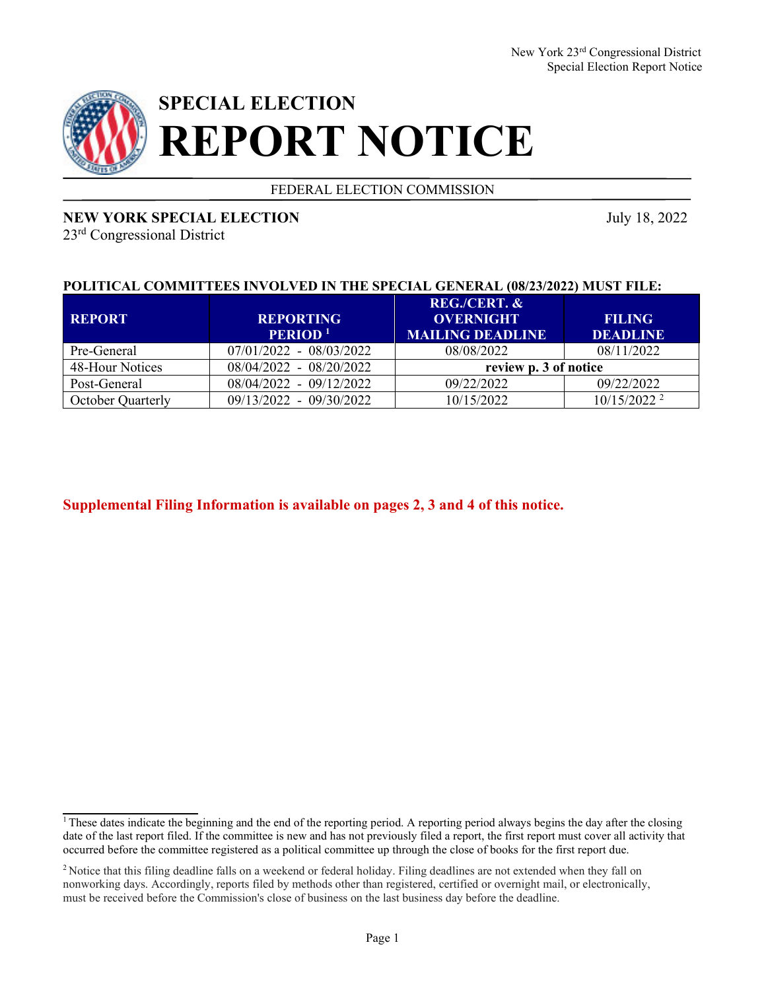

# **SPECIAL ELECTION REPORT NOTICE**

FEDERAL ELECTION COMMISSION

## **NEW YORK SPECIAL ELECTION** July 18, 2022

23rd Congressional District

## **POLITICAL COMMITTEES INVOLVED IN THE SPECIAL GENERAL (08/23/2022) MUST FILE:**

| <b>REPORT</b>            | <b>REPORTING</b><br>PERIOD <sup>1</sup> | REG./CERT. &<br><b>OVERNIGHT</b><br><b>MAILING DEADLINE</b> | <b>FILING</b><br><b>DEADLINE</b> |
|--------------------------|-----------------------------------------|-------------------------------------------------------------|----------------------------------|
| Pre-General              | $07/01/2022 - 08/03/2022$               | 08/08/2022                                                  | 08/11/2022                       |
| 48-Hour Notices          | 08/04/2022 - 08/20/2022                 | review p. 3 of notice                                       |                                  |
| Post-General             | 08/04/2022 - 09/12/2022                 | 09/22/2022                                                  | 09/22/2022                       |
| <b>October Quarterly</b> | 09/13/2022 - 09/30/2022                 | 10/15/2022                                                  | $10/15/2022^2$                   |

**Supplemental Filing Information is available on pages 2, 3 and 4 of this notice.**

<sup>&</sup>lt;sup>1</sup> These dates indicate the beginning and the end of the reporting period. A reporting period always begins the day after the closing date of the last report filed. If the committee is new and has not previously filed a report, the first report must cover all activity that occurred before the committee registered as a political committee up through the close of books for the first report due.

<sup>&</sup>lt;sup>2</sup> Notice that this filing deadline falls on a weekend or federal holiday. Filing deadlines are not extended when they fall on nonworking days. Accordingly, reports filed by methods other than registered, certified or overnight mail, or electronically, must be received before the Commission's close of business on the last business day before the deadline.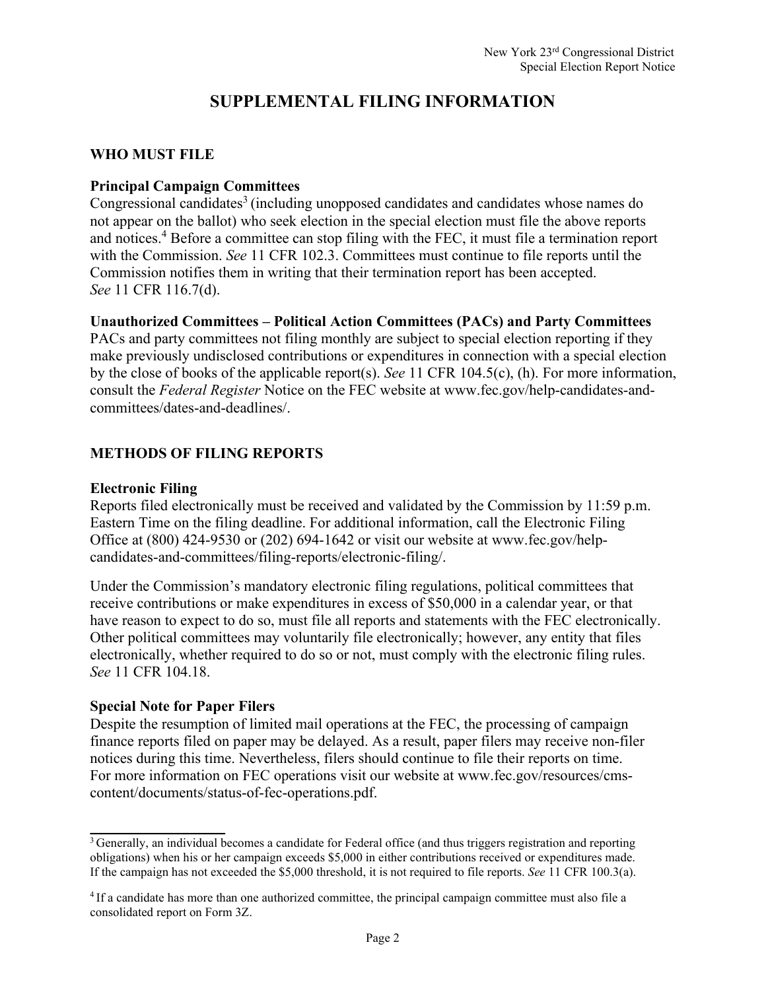## **SUPPLEMENTAL FILING INFORMATION**

#### **WHO MUST FILE**

## **Principal Campaign Committees**

Congressional candidates<sup>3</sup> (including unopposed candidates and candidates whose names do not appear on the ballot) who seek election in the special election must file the above reports and notices.4 Before a committee can stop filing with the FEC, it must file a termination report with the Commission. *See* 11 CFR 102.3. Committees must continue to file reports until the Commission notifies them in writing that their termination report has been accepted. *See* 11 CFR 116.7(d).

#### **Unauthorized Committees – Political Action Committees (PACs) and Party Committees**

PACs and party committees not filing monthly are subject to special election reporting if they make previously undisclosed contributions or expenditures in connection with a special election by the close of books of the applicable report(s). *See* 11 CFR 104.5(c), (h). For more information, consult the *Federal Register* Notice on the FEC website at www.fec.gov/help-candidates-andcommittees/dates-and-deadlines/.

## **METHODS OF FILING REPORTS**

#### **Electronic Filing**

Reports filed electronically must be received and validated by the Commission by 11:59 p.m. Eastern Time on the filing deadline. For additional information, call the Electronic Filing Office at (800) 424-9530 or (202) 694-1642 or visit our website at www.fec.gov/helpcandidates-and-committees/filing-reports/electronic-filing/.

Under the Commission's mandatory electronic filing regulations, political committees that receive contributions or make expenditures in excess of \$50,000 in a calendar year, or that have reason to expect to do so, must file all reports and statements with the FEC electronically. Other political committees may voluntarily file electronically; however, any entity that files electronically, whether required to do so or not, must comply with the electronic filing rules. *See* 11 CFR 104.18.

#### **Special Note for Paper Filers**

Despite the resumption of limited mail operations at the FEC, the processing of campaign finance reports filed on paper may be delayed. As a result, paper filers may receive non-filer notices during this time. Nevertheless, filers should continue to file their reports on time. For more information on FEC operations visit our website at www.fec.gov/resources/cmscontent/documents/status-of-fec-operations.pdf.

<sup>&</sup>lt;sup>3</sup> Generally, an individual becomes a candidate for Federal office (and thus triggers registration and reporting obligations) when his or her campaign exceeds \$5,000 in either contributions received or expenditures made. If the campaign has not exceeded the \$5,000 threshold, it is not required to file reports. *See* 11 CFR 100.3(a).

<sup>4</sup> If a candidate has more than one authorized committee, the principal campaign committee must also file a consolidated report on Form 3Z.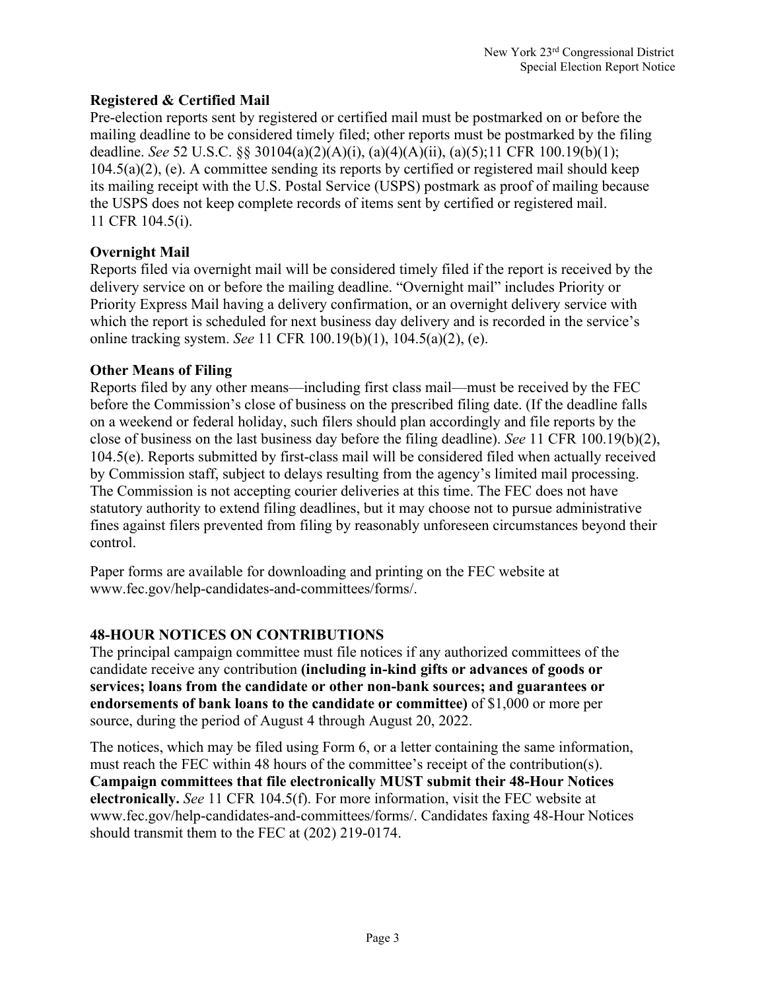## **Registered & Certified Mail**

Pre-election reports sent by registered or certified mail must be postmarked on or before the mailing deadline to be considered timely filed; other reports must be postmarked by the filing deadline. *See* 52 U.S.C. §§ 30104(a)(2)(A)(i), (a)(4)(A)(ii), (a)(5);11 CFR 100.19(b)(1); 104.5(a)(2), (e). A committee sending its reports by certified or registered mail should keep its mailing receipt with the U.S. Postal Service (USPS) postmark as proof of mailing because the USPS does not keep complete records of items sent by certified or registered mail. 11 CFR 104.5(i).

## **Overnight Mail**

Reports filed via overnight mail will be considered timely filed if the report is received by the delivery service on or before the mailing deadline. "Overnight mail" includes Priority or Priority Express Mail having a delivery confirmation, or an overnight delivery service with which the report is scheduled for next business day delivery and is recorded in the service's online tracking system. *See* 11 CFR 100.19(b)(1), 104.5(a)(2), (e).

## **Other Means of Filing**

Reports filed by any other means—including first class mail—must be received by the FEC before the Commission's close of business on the prescribed filing date. (If the deadline falls on a weekend or federal holiday, such filers should plan accordingly and file reports by the close of business on the last business day before the filing deadline). *See* 11 CFR 100.19(b)(2), 104.5(e). Reports submitted by first-class mail will be considered filed when actually received by Commission staff, subject to delays resulting from the agency's limited mail processing. The Commission is not accepting courier deliveries at this time. The FEC does not have statutory authority to extend filing deadlines, but it may choose not to pursue administrative fines against filers prevented from filing by reasonably unforeseen circumstances beyond their control.

Paper forms are available for downloading and printing on the FEC website at www.fec.gov/help-candidates-and-committees/forms/.

## **48-HOUR NOTICES ON CONTRIBUTIONS**

The principal campaign committee must file notices if any authorized committees of the candidate receive any contribution **(including in-kind gifts or advances of goods or services; loans from the candidate or other non-bank sources; and guarantees or endorsements of bank loans to the candidate or committee)** of \$1,000 or more per source, during the period of August 4 through August 20, 2022.

The notices, which may be filed using Form 6, or a letter containing the same information, must reach the FEC within 48 hours of the committee's receipt of the contribution(s). **Campaign committees that file electronically MUST submit their 48-Hour Notices electronically.** *See* 11 CFR 104.5(f). For more information, visit the FEC website at www.fec.gov/help-candidates-and-committees/forms/. Candidates faxing 48-Hour Notices should transmit them to the FEC at (202) 219-0174.